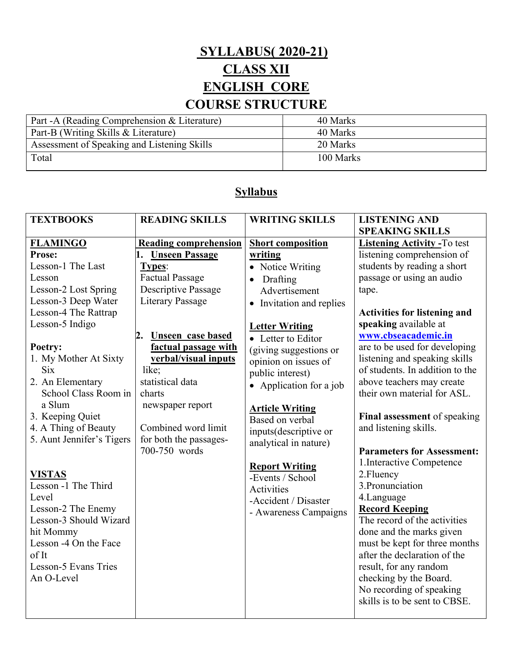## **SYLLABUS( 2020-21) CLASS XII ENGLISH CORE**

# **COURSE STRUCTURE**

| Part - A (Reading Comprehension & Literature) | 40 Marks  |
|-----------------------------------------------|-----------|
| Part-B (Writing Skills & Literature)          | 40 Marks  |
| Assessment of Speaking and Listening Skills   | 20 Marks  |
| Total                                         | 100 Marks |
|                                               |           |

### **Syllabus**

| <b>TEXTBOOKS</b>                                                                                                                                                                                                                                     | <b>READING SKILLS</b>                                                                                                                                                     | <b>WRITING SKILLS</b>                                                                                                                                                                                                                                                           | <b>LISTENING AND</b>                                                                                                                                                                                                                                                                                                                                              |
|------------------------------------------------------------------------------------------------------------------------------------------------------------------------------------------------------------------------------------------------------|---------------------------------------------------------------------------------------------------------------------------------------------------------------------------|---------------------------------------------------------------------------------------------------------------------------------------------------------------------------------------------------------------------------------------------------------------------------------|-------------------------------------------------------------------------------------------------------------------------------------------------------------------------------------------------------------------------------------------------------------------------------------------------------------------------------------------------------------------|
|                                                                                                                                                                                                                                                      |                                                                                                                                                                           |                                                                                                                                                                                                                                                                                 | <b>SPEAKING SKILLS</b>                                                                                                                                                                                                                                                                                                                                            |
| <b>FLAMINGO</b>                                                                                                                                                                                                                                      | <b>Reading comprehension</b>                                                                                                                                              | <b>Short composition</b>                                                                                                                                                                                                                                                        | <b>Listening Activity - To test</b>                                                                                                                                                                                                                                                                                                                               |
| Prose:                                                                                                                                                                                                                                               | <b>Unseen Passage</b>                                                                                                                                                     | writing                                                                                                                                                                                                                                                                         | listening comprehension of                                                                                                                                                                                                                                                                                                                                        |
| Lesson-1 The Last                                                                                                                                                                                                                                    | Types:                                                                                                                                                                    | • Notice Writing                                                                                                                                                                                                                                                                | students by reading a short                                                                                                                                                                                                                                                                                                                                       |
| Lesson                                                                                                                                                                                                                                               | <b>Factual Passage</b>                                                                                                                                                    | Drafting<br>$\bullet$                                                                                                                                                                                                                                                           | passage or using an audio                                                                                                                                                                                                                                                                                                                                         |
| Lesson-2 Lost Spring                                                                                                                                                                                                                                 | Descriptive Passage                                                                                                                                                       | Advertisement                                                                                                                                                                                                                                                                   | tape.                                                                                                                                                                                                                                                                                                                                                             |
| Lesson-3 Deep Water                                                                                                                                                                                                                                  | <b>Literary Passage</b>                                                                                                                                                   | • Invitation and replies                                                                                                                                                                                                                                                        |                                                                                                                                                                                                                                                                                                                                                                   |
| Lesson-4 The Rattrap                                                                                                                                                                                                                                 |                                                                                                                                                                           |                                                                                                                                                                                                                                                                                 | <b>Activities for listening and</b>                                                                                                                                                                                                                                                                                                                               |
| Lesson-5 Indigo                                                                                                                                                                                                                                      |                                                                                                                                                                           | <b>Letter Writing</b>                                                                                                                                                                                                                                                           | speaking available at                                                                                                                                                                                                                                                                                                                                             |
|                                                                                                                                                                                                                                                      | <b>Unseen case based</b><br>2.                                                                                                                                            | • Letter to Editor                                                                                                                                                                                                                                                              | www.cbseacademic.in                                                                                                                                                                                                                                                                                                                                               |
| Poetry:<br>1. My Mother At Sixty<br><b>Six</b><br>2. An Elementary<br>School Class Room in<br>a Slum<br>3. Keeping Quiet<br>4. A Thing of Beauty<br>5. Aunt Jennifer's Tigers<br><b>VISTAS</b><br>Lesson -1 The Third<br>Level<br>Lesson-2 The Enemy | factual passage with<br>verbal/visual inputs<br>like;<br>statistical data<br>charts<br>newspaper report<br>Combined word limit<br>for both the passages-<br>700-750 words | (giving suggestions or<br>opinion on issues of<br>public interest)<br>• Application for a job<br><b>Article Writing</b><br>Based on verbal<br>inputs(descriptive or<br>analytical in nature)<br><b>Report Writing</b><br>-Events / School<br>Activities<br>-Accident / Disaster | are to be used for developing<br>listening and speaking skills<br>of students. In addition to the<br>above teachers may create<br>their own material for ASL.<br>Final assessment of speaking<br>and listening skills.<br><b>Parameters for Assessment:</b><br>1. Interactive Competence<br>2. Fluency<br>3. Pronunciation<br>4.Language<br><b>Record Keeping</b> |
| Lesson-3 Should Wizard<br>hit Mommy<br>Lesson -4 On the Face<br>of It<br>Lesson-5 Evans Tries                                                                                                                                                        |                                                                                                                                                                           | - Awareness Campaigns                                                                                                                                                                                                                                                           | The record of the activities<br>done and the marks given<br>must be kept for three months<br>after the declaration of the<br>result, for any random                                                                                                                                                                                                               |
| An O-Level                                                                                                                                                                                                                                           |                                                                                                                                                                           |                                                                                                                                                                                                                                                                                 | checking by the Board.<br>No recording of speaking<br>skills is to be sent to CBSE.                                                                                                                                                                                                                                                                               |